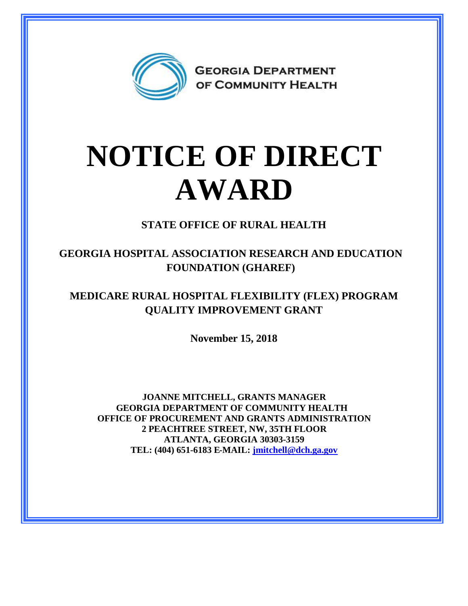

## **NOTICE OF DIRECT AWARD**

**STATE OFFICE OF RURAL HEALTH**

**GEORGIA HOSPITAL ASSOCIATION RESEARCH AND EDUCATION FOUNDATION (GHAREF)**

## **MEDICARE RURAL HOSPITAL FLEXIBILITY (FLEX) PROGRAM QUALITY IMPROVEMENT GRANT**

**November 15, 2018**

**JOANNE MITCHELL, GRANTS MANAGER GEORGIA DEPARTMENT OF COMMUNITY HEALTH OFFICE OF PROCUREMENT AND GRANTS ADMINISTRATION 2 PEACHTREE STREET, NW, 35TH FLOOR ATLANTA, GEORGIA 30303-3159 TEL: (404) 651-6183 E-MAIL: [jmitchell@dch.ga.gov](mailto:jmitchell@dch.ga.gov)**